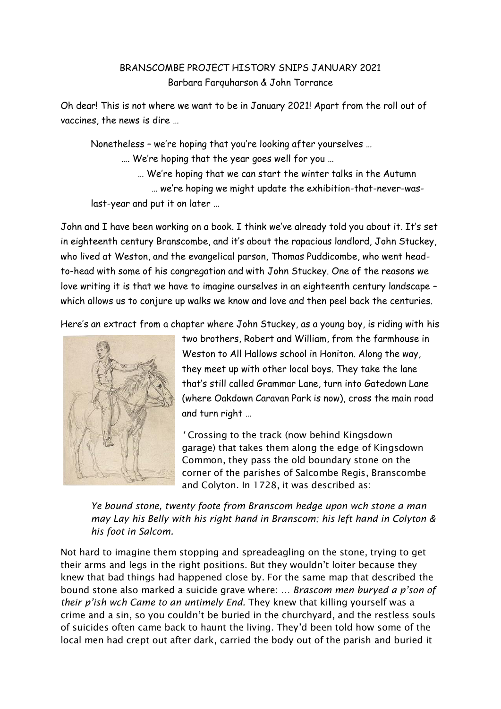## BRANSCOMBE PROJECT HISTORY SNIPS JANUARY 2021 Barbara Farquharson & John Torrance

Oh dear! This is not where we want to be in January 2021! Apart from the roll out of vaccines, the news is dire …

Nonetheless – we're hoping that you're looking after yourselves …

…. We're hoping that the year goes well for you …

 … We're hoping that we can start the winter talks in the Autumn … we're hoping we might update the exhibition-that-never-was-

last-year and put it on later …

John and I have been working on a book. I think we've already told you about it. It's set in eighteenth century Branscombe, and it's about the rapacious landlord, John Stuckey, who lived at Weston, and the evangelical parson, Thomas Puddicombe, who went headto-head with some of his congregation and with John Stuckey. One of the reasons we love writing it is that we have to imagine ourselves in an eighteenth century landscape – which allows us to conjure up walks we know and love and then peel back the centuries.

Here's an extract from a chapter where John Stuckey, as a young boy, is riding with his



two brothers, Robert and William, from the farmhouse in Weston to All Hallows school in Honiton. Along the way, they meet up with other local boys. They take the lane that's still called Grammar Lane, turn into Gatedown Lane (where Oakdown Caravan Park is now), cross the main road and turn right …

*'* Crossing to the track (now behind Kingsdown garage) that takes them along the edge of Kingsdown Common, they pass the old boundary stone on the corner of the parishes of Salcombe Regis, Branscombe and Colyton. In 1728, it was described as:

*Ye bound stone, twenty foote from Branscom hedge upon wch stone a man may Lay his Belly with his right hand in Branscom; his left hand in Colyton & his foot in Salcom.*

Not hard to imagine them stopping and spreadeagling on the stone, trying to get their arms and legs in the right positions. But they wouldn't loiter because they knew that bad things had happened close by. For the same map that described the bound stone also marked a suicide grave where: *… Brascom men buryed a p'son of their p'ish wch Came to an untimely End.* They knew that killing yourself was a crime and a sin, so you couldn't be buried in the churchyard, and the restless souls of suicides often came back to haunt the living. They'd been told how some of the local men had crept out after dark, carried the body out of the parish and buried it